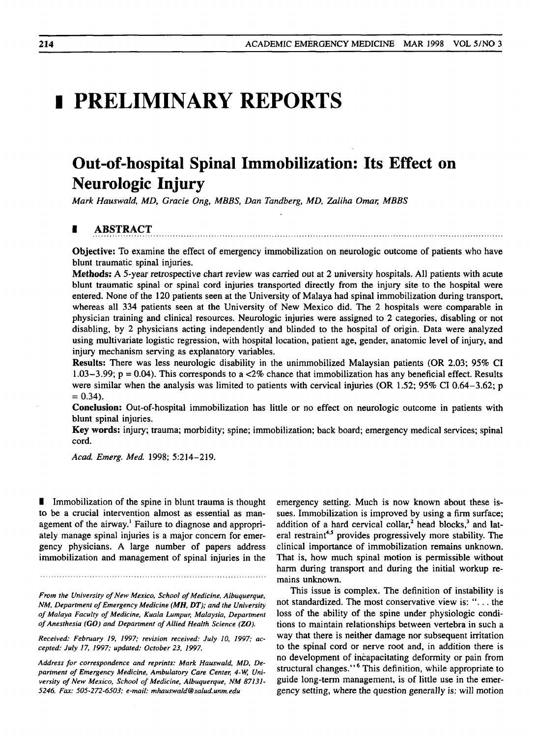## **PRELIMINARY REPORTS**

### **Out-of-hospital Spinal Immobilization: Its Effect on Neurologic Injury**

*Mark Hauswald, MD, Gracie Ong, MBBS, Dan Tandberg, MD, Zaliha Omar, MBBS* 

#### **I ABSTRACT**  .....................................................................................................................................................

**Objective:** To examine the effect of emergency immobilization on neurologic outcome of patients who have blunt traumatic spinal injuries.

**Methods:** A 5-year retrospective chart review was carried out at 2 university hospitals. All patients with acute blunt traumatic spinal or spinal cord injuries transported directly from the injury site to the hospital were entered. None of the 120 patients seen at the University of Malaya had spinal immobilization during transport, whereas all 334 patients seen at the University of New Mexico did. The 2 hospitals were comparable in physician training and clinical resources. Neurologic injuries were assigned to 2 categories, disabling or not disabling, by 2 physicians acting independently and blinded to the hospital of origin. Data were analyzed using multivariate logistic regression, with hospital location, patient age, gender, anatomic level of injury, and injury mechanism serving as explanatory variables.

**Results:** There was less neurologic disability in the unimmobilized Malaysian patients (OR 2.03; 95% CI  $1.03-3.99$ ;  $p = 0.04$ ). This corresponds to a <2% chance that immobilization has any beneficial effect. Results were similar when the analysis was limited to patients with cervical injuries (OR 1.52; 95% CI 0.64–3.62; p  $= 0.34$ ).

**Conclusion:** Out-of-hospital immobilization has little or no effect on neurologic outcome in patients with blunt spinal injuries.

**Key** words: injury; trauma; morbidity; spine; immobilization; back board; emergency medical services; spinal cord.

*Acad. Emerg. Med.* 1998; 5:214-219.

Immobilization of the spine in blunt trauma is thought to be a crucial intervention almost as essential as management of the airway.<sup>1</sup> Failure to diagnose and appropriately manage spinal injuries is a major concern for emergency physicians. A large number of papers address immobilization and management of spinal injuries in the

..................................................................................

*Fmm the University of New Mexico. School of Medicine, Albuquerque, NM. Department of Emergency Medicine (MH, DT); and the University of Malaya Faculty of Medicine, Kuala Lumpur; Malaysia, Department of Anesthesia (GO) and Department of Allied Health Science (ZO).* 

*Received: February 19, 1997; revision received: July 10, 1997; accepted: July 17, 1997; updated: October 23. 1997.* 

*Address for correspondence and reprints: Mark Hauswald, MD, De*partment of Emergency Medicine, Ambulatory Care Center, 4-W, Uni*versity of New Mexico, School of Medicine, Albuquerque, NM 87131- 5246. Fax: 505-272-6503; e-mail: mhauswnld@salud.unm.edu* 

emergency setting. Much is now known about these issues. Immobilization is improved by using a firm surface; addition of a hard cervical collar,<sup>2</sup> head blocks,<sup>3</sup> and lateral restraint<sup>4,5</sup> provides progressively more stability. The clinical importance of immobilization remains unknown. That is, how much spinal motion is permissible without harm during transport and during the initial workup remains unknown.

This issue is complex. The definition of instability is not standardized. The most conservative view is: ". .. the loss of the ability of the spine under physiologic conditions to maintain relationships between vertebra in such a way that there is neither damage nor subsequent irritation to the spinal cord or nerve root and, in addition there is no development of incapacitating deformity or pain from structural changes."<sup>6</sup> This definition, while appropriate to guide long-term management, is of little use in the emergency setting, where the question generally **is:** will motion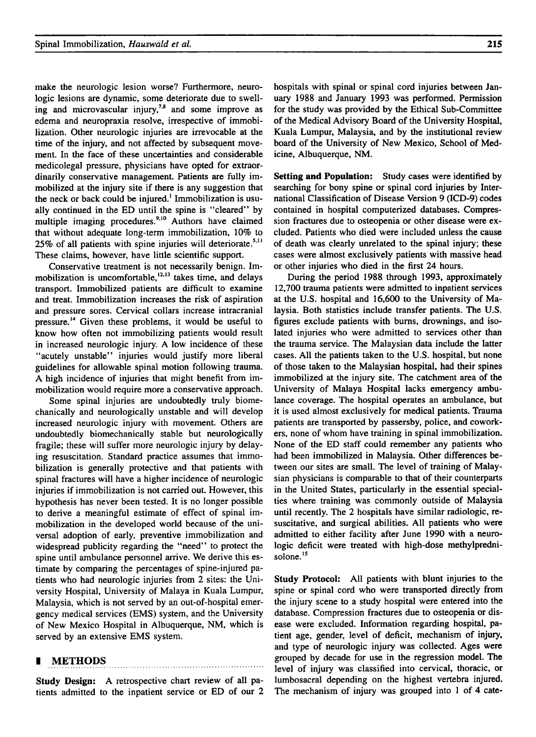make the neurologic lesion worse? Furthermore, neurologic lesions are dynamic, some deteriorate due to swelling and microvascular injury,<sup>7,8</sup> and some improve as edema and neuropraxia resolve, irrespective of immobilization. Other neurologic injuries are irrevocable at the time of the injury, and not affected by subsequent movement. In the face of these uncertainties and considerable medicolegal pressure, physicians have opted for extraordinarily conservative management. Patients are fully immobilized at the injury site if there is any suggestion that the neck or back could be injured.' Immobilization is usually continued in the ED until the spine is "cleared" by multiple imaging procedures.<sup>9,10</sup> Authors have claimed that without adequate long-term immobilization, 10% to 25% of all patients with spine injuries will deteriorate.<sup>5,11</sup> These claims, however, have little scientific support.

Conservative treatment is not necessarily benign. Immobilization is uncomfortable,<sup>12,13</sup> takes time, and delays transport. Immobilized patients are difficult to examine and treat. Immobilization increases the risk of aspiration and pressure sores. Cervical collars increase intracranial pressure.14 Given these problems, it would be useful to know how often not immobilizing patients would result in increased neurologic injury. A low incidence of these "acutely unstable" injuries would justify more liberal guidelines for allowable spinal motion following trauma. A high incidence of injuries that might benefit from immobilization would require more a conservative approach.

Some spinal injuries are undoubtedly truly biomechanically and neurologically unstable and will develop increased neurologic injury with movement. Others are undoubtedly biomechanically stable but neurologically fragile; these will suffer more neurologic injury by delaying resuscitation. Standard practice assumes that immobilization is generally protective and that patients with spinal fractures will have a higher incidence of neurologic injuries if immobilization is not carried out. However, this hypothesis has never been tested. It is no longer possible to derive a meaningful estimate of effect of spinal immobilization in the developed world because of the universal adoption of early, preventive immobilization and widespread publicity regarding the "need" to protect the spine until ambulance personnel arrive. We derive this estimate by comparing the percentages of spine-injured patients who had neurologic injuries from **2** sites: the University Hospital, University of Malaya in Kuala Lumpur, Malaysia, which is not served by an out-of-hospital emergency medical services (EMS) system, and the University of New Mexico Hospital in Albuquerque, NM, which is served by an extensive EMS system.

# ■ **METHODS**

**Study Design:** A retrospective chart review of all patients admitted to the inpatient service or ED of our **2**  hospitals with spinal or spinal cord injuries between January 1988 and January 1993 was performed. Permission for the study was provided by the Ethical Sub-committee of the Medical Advisory Board of the University Hospital, Kuala Lumpur, Malaysia, and by the institutional review board of the University of New Mexico, School of Medicine, Albuquerque, NM.

**Setting and Population:** Study cases were identified by searching for bony spine or spinal cord injuries by International Classification of Disease Version 9 (ICD-9) codes contained in hospital computerized databases. Compression fractures due to osteopenia or other disease were excluded. Patients who died were included unless the cause of death was clearly unrelated to the spinal injury; these cases were almost exclusively patients with massive head or other injuries who died in the first **24** hours.

During the period 1988 through 1993, approximately 12,700 trauma patients were admitted to inpatient services at the U.S. hospital and 16.600 to the University of Malaysia. Both statistics include transfer patients. The U.S. figures exclude patients with bums, drownings, and isolated injuries who were admitted to services other than the trauma service. The Malaysian data include the latter cases. All the patients taken to the **U.S.** hospital, but none of those taken to the Malaysian hospital, had their spines immobilized at the injury site. The catchment area of the University of Malaya Hospital lacks emergency ambulance coverage. The hospital operates an ambulance, but it is used almost exclusively for medical patients. Trauma patients are transported by passersby, police, and coworkers, none of whom have training in spinal immobilization. None of the ED staff could remember any patients who had been immobilized in Malaysia. Other differences **be**tween our sites are small. The level of training of Malaysian physicians is comparable to that of their counterparts in the United States, particularly in the essential specialties where training was commonly outside of Malaysia until recently. The **2** hospitals have similar radiologic, resuscitative, and surgical abilities. All patients who were admitted to either facility after June 1990 with a neurologic deficit were treated with high-dose methylprednisolone.<sup>15</sup>

**Study Protocol:** All patients with blunt injuries to the spine or spinal cord who were transported directly from the injury scene to a study hospital were entered into the database. Compression fractures due to osteopenia or disease were excluded. Information regarding hospital, patient age. gender, level *of* deficit, mechanism of injury, and type of neurologic injury was collected. Ages were grouped by decade for use in the regression model. The level of injury was classified into cervical, thoracic, or lumbosacral depending on the highest vertebra injured. The mechanism of injury was grouped into 1 of **4** cate-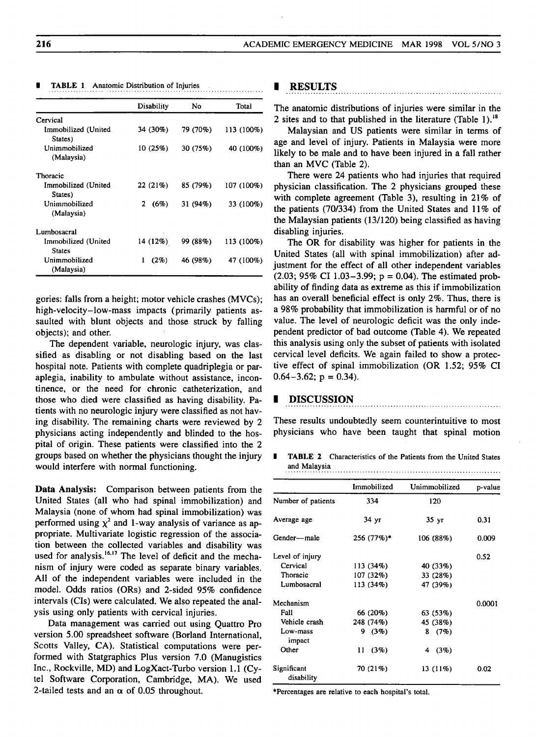**TABLE 1** Anatomic Distribution of Injuries

|                                      | Disability   | No       | Total      |
|--------------------------------------|--------------|----------|------------|
| Cervical                             |              |          |            |
| Immobilized (United<br>States)       | 34 (30%)     | 79 (70%) | 113 (100%) |
| Unimmobilized<br>(Malaysia)          | 10 (25%)     | 30 (75%) | 40 (100%)  |
| Thoracic                             |              |          |            |
| Immobilized (United<br>States)       | 22(21%)      | 85 (79%) | 107 (100%) |
| Unimmobilized<br>(Malaysia)          | 2<br>(6%)    | 31 (94%) | 33 (100%)  |
| Lumbosacral                          |              |          |            |
| Immobilized (United<br><b>States</b> | 14 (12%)     | 99 (88%) | 113 (100%) |
| Unimmobilized<br>(Malaysia)          | 1<br>$(2\%)$ | 46 (98%) | 47 (100%)  |

gories: falls from a height; motor vehicle crashes (MVCs); high-velocity-low-mass impacts (primarily patients assaulted with blunt objects and those struck by falling objects): and other.

The dependent variable, neurologic injury, was classified as disabling or not disabling based on the last hospital note. Patients with complete quadriplegia or paraplegia, inability to ambulate without assistance, incontinence, or the need for chronic catheterization, and those who died were classified as having disability. Patients with no neurologic injury were classified as not having disability. The remaining charts were reviewed by 2 physicians acting independently and blinded to the hospital of origin. These patients were classified into the 2 groups based on whether the physicians thought the injury would interfere with normal functioning.

Data Analysis: Comparison between patients from the United States (all who had spinal immobilization) and Malaysia (none of whom had spinal immobilization) was performed using  $\chi^2$  and 1-way analysis of variance as appropriate. Multivariate logistic regression of the association between the collected variables and disability was used for analysis.<sup>16,17</sup> The level of deficit and the mechanism of injury were coded as separate binary variables. All of the independent variables were included in the model. Odds ratios (ORs) and 2-sided 95% confidence intervals (CIS) were calculated. We also repeated the analysis using only patients with cervical injuries.

Data management was carried out using Quattro Pro version 5.00 spreadsheet software (Borland International, Scotts Valley, CA). Statistical computations were performed with Statgraphics Plus version 7.0 (Manugistics Inc., Rockville, MD) and LogXact-Turbo version 1.1 (Cytel Software Corporation, Cambridge, MA). We used 2-tailed tests and an  $\alpha$  of 0.05 throughout.

# **I** RESULTS

The anatomic distributions of injuries were similar in the 2 sites and to that published in the literature (Table 1).<sup>18</sup>

Malaysian and US patients were similar in terms of age and level of injury. Patients in Malaysia were more likely to be male and to have been injured in a fall rather than an MVC (Table 2).

There were 24 patients who had injuries that required physician classification. The 2 physicians grouped these with complete agreement (Table 3), resulting in 21% of the patients (70/334) from the United States and  $11\%$  of the Malaysian patients **(1** 3/120) being classified as having disabling injuries.

The OR for disability was higher for patients in the United States (all with spinal immobilization) after adjustment for the effect of all other independent variables (2.03; 95% CI 1.03-3.99;  $p = 0.04$ ). The estimated probability of finding data as extreme as this if immobilization has an overall beneficial effect is only 2%. Thus, there is a 98% probability that immobilization is harmful or of no value. The level of neurologic deficit was the only independent predictor of bad outcome (Table **4).** We repeated this analysis using only the subset of patients with isolated cervical level deficits. We again failed to show a protective effect of spinal immobilization (OR 1.52; 95% CI 0.64 $-3.62$ ; p = 0.34).

## **I** DISCUSSION

These results undoubtedly seem counterintuitive to most physicians who have been taught that spinal motion

**I TABLE 2** Characteristics **of** the Patients from the United States and Malaysia ..............................................................................

|                           | Immobilized | Unimmobilized | p-value |
|---------------------------|-------------|---------------|---------|
| Number of patients        | 334         | 120           |         |
| Average age               | 34 уг       | 35 yr         | 0.31    |
| Gender-male               | $256(77%)*$ | 106 (88%)     | 0.009   |
| Level of injury           |             |               | 0.52    |
| Cervical                  | 113 (34%)   | 40 (33%)      |         |
| Thoracic                  | 107 (32%)   | 33 (28%)      |         |
| Lumbosacral               | 113 (34%)   | 47 (39%)      |         |
| Mechanism                 |             |               | 0.0001  |
| Fall                      | 66 (20%)    | 63 (53%)      |         |
| Vehicle crash             | 248 (74%)   | 45 (38%)      |         |
| Low-mass<br>impact        | 9(3%)       | 8<br>(7%)     |         |
| Other                     | 11<br>(3%)  | (3%)<br>4     |         |
| Significant<br>disability | 70 (21%)    | 13 (11%)      | 0.02    |

\*Percentages are relative to each hospital's total.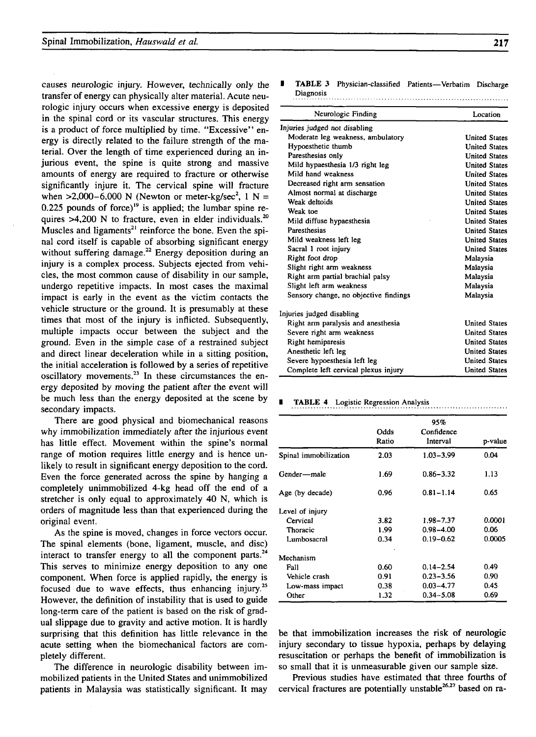causes neurologic injury. However, technically only the transfer of energy can physically alter material. Acute neurologic injury occurs when excessive energy is deposited in the spinal cord or its vascular structures. This energy is a product of force multiplied by time. "Excessive" energy is directly related to the failure strength of the material. Over the length of time experienced during an injurious event, the spine is quite strong and massive amounts of energy are required to fracture or otherwise significantly injure it. The cervical spine will fracture when  $>2,000-6,000$  N (Newton or meter-kg/sec<sup>2</sup>, 1 N = **0.225** pounds of force)'' is applied; the lumbar spine requires  $>4,200$  N to fracture, even in elder individuals.<sup>20</sup> Muscles and ligaments<sup>21</sup> reinforce the bone. Even the spinal cord itself is capable of absorbing significant energy without suffering damage. $^{22}$  Energy deposition during an injury is a complex process. Subjects ejected from vehicles, the most common cause of disability in our sample, undergo repetitive impacts. In most cases the maximal impact is early in the event as the victim contacts the vehicle structure or the ground. It is presumably at these times that most **of** the injury is inflicted. Subsequently, multiple impacts occur between the subject and the ground. Even in the simple case of a restrained subject and direct linear deceleration while in a sitting position, the initial acceleration is followed by a series of repetitive oscillatory movements.<sup>23</sup> In these circumstances the energy deposited by moving the patient after the event will be much less than the energy deposited at the scene by secondary impacts.

There are good physical and biomechanical reasons why immobilization immediately after the injurious event has little effect. Movement within the spine's normal range of motion requires little energy and is hence unlikely to result in significant energy deposition to the cord. Even the force generated across the spine by hanging a completely unimmobilized **4-kg** head off the end of a stretcher is only equal to approximately 40 N, which is orders of magnitude less than that experienced during the original event.

As the spine is moved, changes in force vectors occur. The spinal elements (bone, ligament, muscle, and disc) interact to transfer energy to all the component parts. $24$ This serves to minimize energy deposition to any one component. When force is applied rapidly, the energy is focused due to wave effects, thus enhancing injury.25 However, the definition of instability that is used to guide long-term care of the patient is based on the risk of gradual slippage due to gravity and active motion. It is hardly surprising that this definition has little relevance in the acute setting when the biomechanical factors are completely different.

The difference in neurologic disability between immobilized patients in the United States and unimmobilized patients in Malaysia was statistically significant. It may **I TABLE 3 Physician-classified Patients-Verbatim Discharge Diagnosis**  ..............................................................................

| Neurologic Finding                    | Location             |
|---------------------------------------|----------------------|
| Injuries judged not disabling         |                      |
| Moderate leg weakness, ambulatory     | <b>United States</b> |
| Hypoesthetic thumb                    | <b>United States</b> |
| Paresthesias only                     | <b>United States</b> |
| Mild hypaesthesia 1/3 right leg       | <b>United States</b> |
| Mild hand weakness                    | <b>United States</b> |
| Decreased right arm sensation         | <b>United States</b> |
| Almost normal at discharge            | <b>United States</b> |
| Weak deltoids                         | <b>United States</b> |
| Weak toe                              | <b>United States</b> |
| Mild diffuse hypaesthesia             | <b>United States</b> |
| Paresthesias                          | <b>United States</b> |
| Mild weakness left leg                | <b>United States</b> |
| Sacral 1 root injury                  | <b>United States</b> |
| Right foot drop                       | Malaysia             |
| Slight right arm weakness             | Malaysia             |
| Right arm partial brachial palsy      | Malaysia             |
| Slight left arm weakness              | Malaysia             |
| Sensory change, no objective findings | Malaysia             |
| Injuries judged disabling             |                      |
| Right arm paralysis and anesthesia    | <b>United States</b> |
| Severe right arm weakness             | <b>United States</b> |
| Right hemiparesis                     | <b>United States</b> |
| Anesthetic left leg                   | <b>United States</b> |
| Severe hypoesthesia left leg          | <b>United States</b> |
| Complete left cervical plexus injury  | <b>United States</b> |

#### **TABLE 4** Logistic Regression Analysis

|                       | Odds  |                        |         |
|-----------------------|-------|------------------------|---------|
|                       | Ratio | Confidence<br>Interval | p-value |
| Spinal immobilization | 2.03  | $1.03 - 3.99$          | 0.04    |
| Gender—male           | 1.69  | $0.86 - 3.32$          | 1.13    |
| Age (by decade)       | 0.96  | $0.81 - 1.14$          | 0.65    |
| Level of injury       |       |                        |         |
| Cervical              | 3.82  | 1.98-7.37              | 0.0001  |
| Thoracic              | 1.99  | $0.98 - 4.00$          | 0.06    |
| Lumbosacral           | 0.34  | $0.19 - 0.62$          | 0.0005  |
| Mechanism             |       |                        |         |
| Fall                  | 0.60  | $0.14 - 2.54$          | 0.49    |
| Vehicle crash         | 0.91  | $0.23 - 3.56$          | 0.90    |
| Low-mass impact       | 0.38  | $0.03 - 4.77$          | 0.45    |
| Other                 | 1.32  | $0.34 - 5.08$          | 0.69    |

be that immobilization increases the risk of neurologic injury secondary to tissue hypoxia, perhaps by delaying resuscitation or perhaps the benefit of immobilization is so small that it is unmeasurable given our sample size.

Previous studies have estimated that three fourths of cervical fractures are potentially unstable $^{26.27}$  based on ra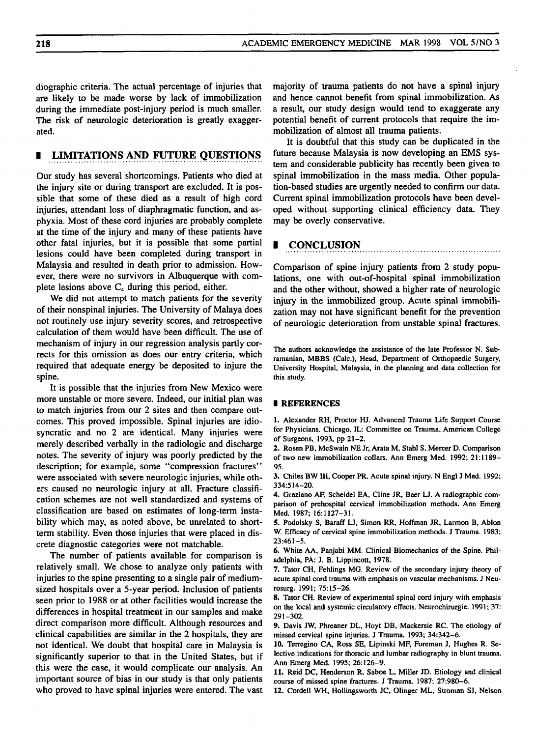diographic criteria. The actual percentage of injuries that are likely to be made worse by lack of immobilization during the immediate post-injury period is much smaller. The risk of neurologic deterioration is greatly exaggerated.

#### **LIMITATIONS AND FUTURE QUESTIONS** П

Our study has several shortcomings. Patients who died at the injury site or during transport are excluded. It is possible that some of these died as a result of high cord injuries, attendant loss of diaphragmatic function, and asphyxia. Most of these cord injuries are probably complete at the time of the injury and many of these patients have other fatal injuries, but it is possible that some partial lesions could have been completed during transport in Malaysia and resulted in death prior to admission. However, there were no survivors in Albuquerque with complete lesions above  $C_4$  during this period, either.

We did not attempt to match patients for the severity of their nonspinal injuries. The University of Malaya does not routinely use injury severity scores, and retrospective calculation of them would have been difficult. The use of mechanism of injury in our regression analysis partly corrects for this omission as does our entry criteria, which required that adequate energy be deposited to injure the spine.

It is possible that the injuries from New Mexico were more unstable or more severe. Indeed, our initial plan was to match injuries from our 2 sites and then compare outcomes. This proved impossible. Spinal injuries are idiosyncratic and no 2 are identical. Many injuries were merely described verbally in the radiologic and discharge notes. The severity of injury was poorly predicted by the description; for example, some "compression fractures" were associated with severe neurologic injuries, while others caused no neurologic injury at all. Fracture classification schemes are not well standardized and systems of classification are based on estimates of long-term instability which may, as noted above, be unrelated to shortterm stability. Even those injuries that were placed in discrete diagnostic categories were not matchable.

The number of patients available for comparison is relatively small. We chose to analyze only patients with injuries to the spine presenting to a single pair of mediumsized hospitals over a 5-year period. Inclusion of patients seen prior to 1988 or at other facilities would increase the differences in hospital treatment in our samples and make direct comparison more difficult. Although resources and clinical capabilities are similar in the 2 hospitals, they are not identical. We doubt that hospital care in Malaysia is significantly superior to that in the United States, but if this were the case, it would complicate our analysis. An important source of bias in our study is that only patients who proved to have spinal injuries were entered. The vast majority of trauma patients do not have a spinal injury and hence cannot benefit from spinal immobilization. As a result, our study design would tend to exaggerate any potential benefit of current protocols that require the immobilization of almost all trauma patients.

It is doubtful that this study can be duplicated in the future because Malaysia is now developing an EMS system and considerable publicity has recently been given to spinal immobilization in the mass media. Other population-based studies are urgently needed to confirm our data. Current spinal immobilization protocols have been developed without supporting clinical efficiency data. They may be overly conservative.

# **I** CONCLUSION

Comparison of spine injury patients from 2 study populations, one with out-of-hospital spinal immobilization and the other without, showed a higher rate of neurologic injury in the immobilized group. Acute spinal immobilization may not have significant benefit for the prevention of neurologic deterioration from unstable spinal fractures.

The authors acknowledge the assistance of the late Professor N. Subramanian, MBBS (Calc.), Head, Department of Orthopaedic Surgery, University Hospital, Malaysia, in the planning and data collection for this study.

#### **I REFERENCES**

**1.** Alexander RH, Proctor HJ. Advanced Trauma Life Support Course for Physicians. Chicago, IL: Committee on Trauma, American College of Surgeons, 1993, pp 21-2.

**2.** Rosen PB, McSwain NE Jr. Arata M. Stahl S, Mercer D. Comparison of two new immobilization collars. Ann Emerg Med. 1992; 21:1189- 95.

3. Chiles BW **111.** Cooper PR. Acute spinal injury. N Engl J Med. 1992; 334:514-20.

**4.** Graziano AF, Scheidel EA. Cline JR, Baer **IJ.** A radiographic comparison of prehospital cervical immobilization methods. Ann Emerg Med. 1987; 16:1127-31.

**5.** Podolsky **S.** Baraff **LJ.** Simon RR, Hoffman JR, Larmon B, Ablon W. Efficacy of cervical spine immobilization methods. J Trauma. 1983; 231461 *-5.* 

6. White AA, Panjabi MM. Clinical Biomechanics of the Spine. Philadelphia, PA: J. B. Lippincott, 1978.

**7.** Tator CH, Fehlings MG. Review of the secondary injury theory of acute spinal cord trauma with emphasis on vascular mechanisms. J Neu**rosurg.** 1991; 75: 15-26.

8. Tator CH. Review of experimental spinal cord injury with emphasis on **the** local and systemic circulatory effects. Neurochirurgie. 1991; **37:**  291 -302.

*9.* Davis JW, Phreaner DL. Hoyt DB, Mackersie RC. The etiology of missed cervical spine injuries. J Trauma. 1993; 34:342-6.

**10.** Terregino **CA,** Ross SE, Lipinski MF, Foreman J, Hughes R. **Se**lective indications for thoracic and lumbar radiography in blunt trauma. Ann Emerg Med. 1995; 26: 126-9.

**11.** Reid DC, Henderson R. Saboe L, Miller JD. Etiology and clinical course of missed spine fractures. J Trauma. 1987; 27:980-6.

**12.** Cordell WH, Hollingsworth JC. Olinger ML, Stroman **SJ,** Nelson